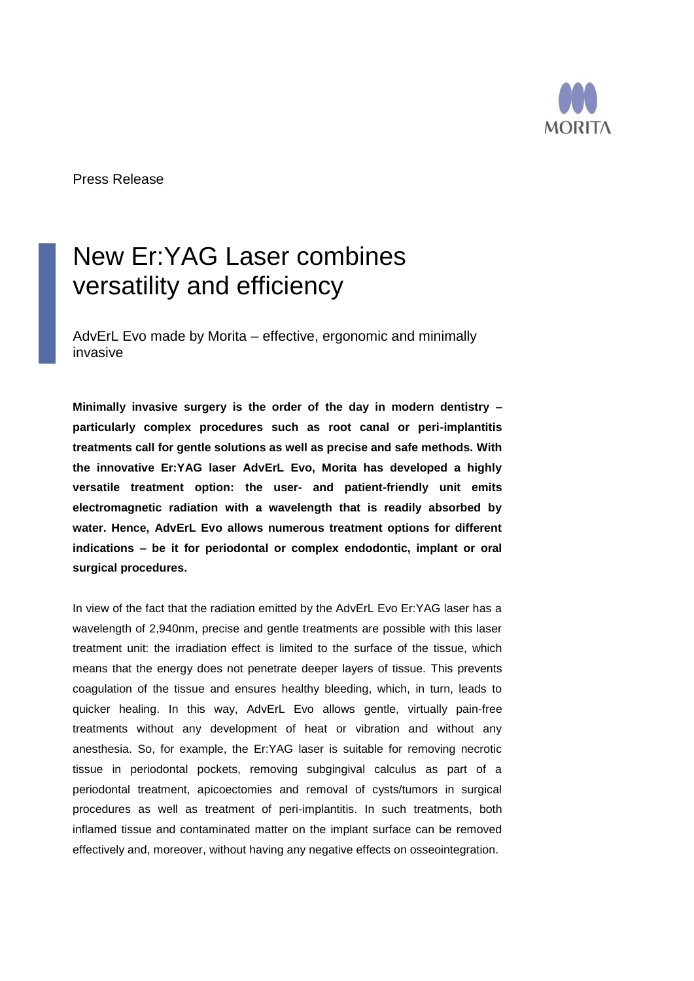

Press Release

## New Er:YAG Laser combines versatility and efficiency

AdvErL Evo made by Morita – effective, ergonomic and minimally invasive

**Minimally invasive surgery is the order of the day in modern dentistry – particularly complex procedures such as root canal or peri-implantitis treatments call for gentle solutions as well as precise and safe methods. With the innovative Er:YAG laser AdvErL Evo, Morita has developed a highly versatile treatment option: the user- and patient-friendly unit emits electromagnetic radiation with a wavelength that is readily absorbed by water. Hence, AdvErL Evo allows numerous treatment options for different indications – be it for periodontal or complex endodontic, implant or oral surgical procedures.**

In view of the fact that the radiation emitted by the AdvErL Evo Er:YAG laser has a wavelength of 2,940nm, precise and gentle treatments are possible with this laser treatment unit: the irradiation effect is limited to the surface of the tissue, which means that the energy does not penetrate deeper layers of tissue. This prevents coagulation of the tissue and ensures healthy bleeding, which, in turn, leads to quicker healing. In this way, AdvErL Evo allows gentle, virtually pain-free treatments without any development of heat or vibration and without any anesthesia. So, for example, the Er:YAG laser is suitable for removing necrotic tissue in periodontal pockets, removing subgingival calculus as part of a periodontal treatment, apicoectomies and removal of cysts/tumors in surgical procedures as well as treatment of peri-implantitis. In such treatments, both inflamed tissue and contaminated matter on the implant surface can be removed effectively and, moreover, without having any negative effects on osseointegration.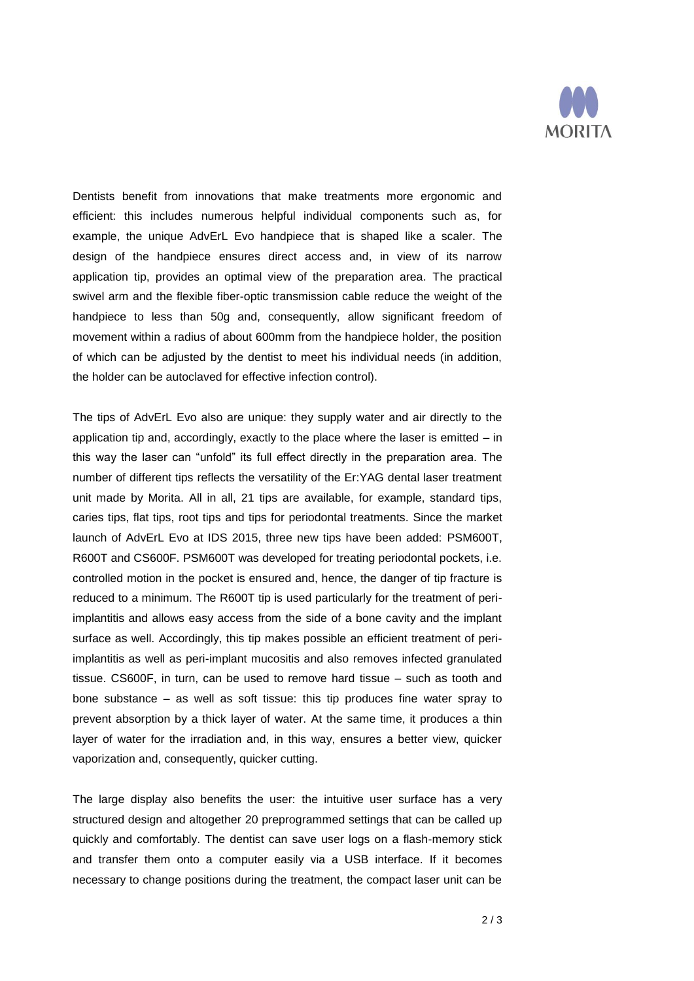

Dentists benefit from innovations that make treatments more ergonomic and efficient: this includes numerous helpful individual components such as, for example, the unique AdvErL Evo handpiece that is shaped like a scaler. The design of the handpiece ensures direct access and, in view of its narrow application tip, provides an optimal view of the preparation area. The practical swivel arm and the flexible fiber-optic transmission cable reduce the weight of the handpiece to less than 50g and, consequently, allow significant freedom of movement within a radius of about 600mm from the handpiece holder, the position of which can be adjusted by the dentist to meet his individual needs (in addition, the holder can be autoclaved for effective infection control).

The tips of AdvErL Evo also are unique: they supply water and air directly to the application tip and, accordingly, exactly to the place where the laser is emitted – in this way the laser can "unfold" its full effect directly in the preparation area. The number of different tips reflects the versatility of the Er:YAG dental laser treatment unit made by Morita. All in all, 21 tips are available, for example, standard tips, caries tips, flat tips, root tips and tips for periodontal treatments. Since the market launch of AdvErL Evo at IDS 2015, three new tips have been added: PSM600T, R600T and CS600F. PSM600T was developed for treating periodontal pockets, i.e. controlled motion in the pocket is ensured and, hence, the danger of tip fracture is reduced to a minimum. The R600T tip is used particularly for the treatment of periimplantitis and allows easy access from the side of a bone cavity and the implant surface as well. Accordingly, this tip makes possible an efficient treatment of periimplantitis as well as peri-implant mucositis and also removes infected granulated tissue. CS600F, in turn, can be used to remove hard tissue – such as tooth and bone substance – as well as soft tissue: this tip produces fine water spray to prevent absorption by a thick layer of water. At the same time, it produces a thin layer of water for the irradiation and, in this way, ensures a better view, quicker vaporization and, consequently, quicker cutting.

The large display also benefits the user: the intuitive user surface has a very structured design and altogether 20 preprogrammed settings that can be called up quickly and comfortably. The dentist can save user logs on a flash-memory stick and transfer them onto a computer easily via a USB interface. If it becomes necessary to change positions during the treatment, the compact laser unit can be